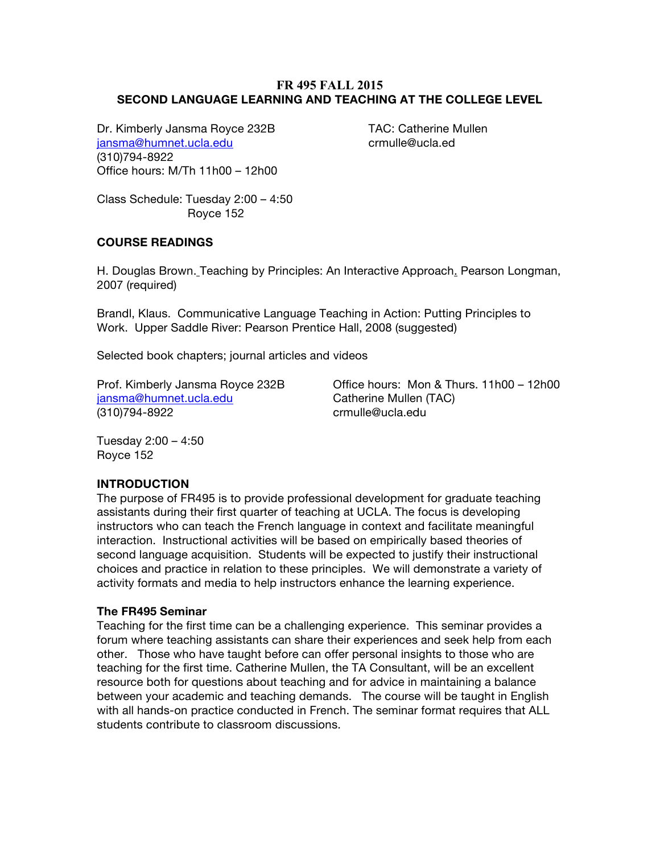## **FR 495 FALL 2015 SECOND LANGUAGE LEARNING AND TEACHING AT THE COLLEGE LEVEL**

Dr. Kimberly Jansma Royce 232B TAC: Catherine Mullen jansma@humnet.ucla.edu crmulle@ucla.ed (310)794-8922 Office hours: M/Th 11h00 – 12h00

Class Schedule: Tuesday 2:00 – 4:50 Royce 152

### **COURSE READINGS**

H. Douglas Brown. Teaching by Principles: An Interactive Approach. Pearson Longman, 2007 (required)

Brandl, Klaus. Communicative Language Teaching in Action: Putting Principles to Work. Upper Saddle River: Pearson Prentice Hall, 2008 (suggested)

Selected book chapters; journal articles and videos

jansma@humnet.ucla.edu Catherine Mullen (TAC) (310)794-8922 crmulle@ucla.edu

Prof. Kimberly Jansma Royce 232B Office hours: Mon & Thurs. 11h00 – 12h00

Tuesday 2:00 – 4:50 Royce 152

### **INTRODUCTION**

The purpose of FR495 is to provide professional development for graduate teaching assistants during their first quarter of teaching at UCLA. The focus is developing instructors who can teach the French language in context and facilitate meaningful interaction. Instructional activities will be based on empirically based theories of second language acquisition. Students will be expected to justify their instructional choices and practice in relation to these principles. We will demonstrate a variety of activity formats and media to help instructors enhance the learning experience.

#### **The FR495 Seminar**

Teaching for the first time can be a challenging experience. This seminar provides a forum where teaching assistants can share their experiences and seek help from each other. Those who have taught before can offer personal insights to those who are teaching for the first time. Catherine Mullen, the TA Consultant, will be an excellent resource both for questions about teaching and for advice in maintaining a balance between your academic and teaching demands. The course will be taught in English with all hands-on practice conducted in French. The seminar format requires that ALL students contribute to classroom discussions.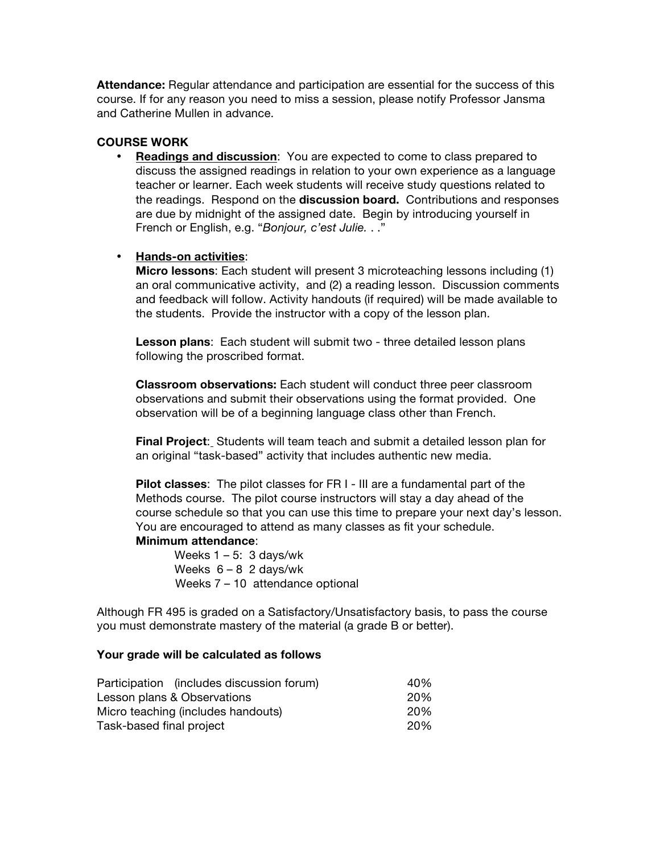**Attendance:** Regular attendance and participation are essential for the success of this course. If for any reason you need to miss a session, please notify Professor Jansma and Catherine Mullen in advance.

## **COURSE WORK**

• **Readings and discussion**: You are expected to come to class prepared to discuss the assigned readings in relation to your own experience as a language teacher or learner. Each week students will receive study questions related to the readings. Respond on the **discussion board.** Contributions and responses are due by midnight of the assigned date. Begin by introducing yourself in French or English, e.g. "*Bonjour, c'est Julie.* . ."

#### • **Hands-on activities**:

**Micro lessons**: Each student will present 3 microteaching lessons including (1) an oral communicative activity, and (2) a reading lesson. Discussion comments and feedback will follow. Activity handouts (if required) will be made available to the students. Provide the instructor with a copy of the lesson plan.

**Lesson plans**: Each student will submit two - three detailed lesson plans following the proscribed format.

**Classroom observations:** Each student will conduct three peer classroom observations and submit their observations using the format provided. One observation will be of a beginning language class other than French.

**Final Project**: Students will team teach and submit a detailed lesson plan for an original "task-based" activity that includes authentic new media.

**Pilot classes**: The pilot classes for FR I - III are a fundamental part of the Methods course. The pilot course instructors will stay a day ahead of the course schedule so that you can use this time to prepare your next day's lesson. You are encouraged to attend as many classes as fit your schedule.

#### **Minimum attendance**:

Weeks  $1 - 5$ : 3 days/wk Weeks  $6 - 8$  2 days/wk Weeks 7 – 10 attendance optional

Although FR 495 is graded on a Satisfactory/Unsatisfactory basis, to pass the course you must demonstrate mastery of the material (a grade B or better).

#### **Your grade will be calculated as follows**

| Participation (includes discussion forum) | 40% |
|-------------------------------------------|-----|
| Lesson plans & Observations               | 20% |
| Micro teaching (includes handouts)        | 20% |
| Task-based final project                  | 20% |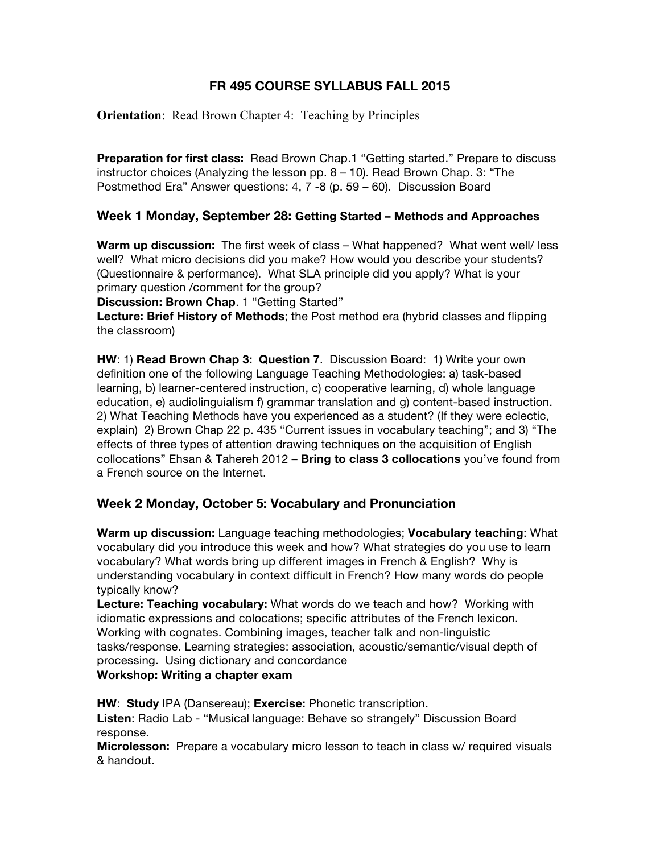# **FR 495 COURSE SYLLABUS FALL 2015**

**Orientation:** Read Brown Chapter 4: Teaching by Principles

**Preparation for first class:** Read Brown Chap.1 "Getting started." Prepare to discuss instructor choices (Analyzing the lesson pp. 8 – 10). Read Brown Chap. 3: "The Postmethod Era" Answer questions: 4, 7 -8 (p. 59 – 60). Discussion Board

## **Week 1 Monday, September 28: Getting Started – Methods and Approaches**

**Warm up discussion:** The first week of class – What happened? What went well/ less well? What micro decisions did you make? How would you describe your students? (Questionnaire & performance). What SLA principle did you apply? What is your primary question /comment for the group?

**Discussion: Brown Chap**. 1 "Getting Started"

**Lecture: Brief History of Methods**; the Post method era (hybrid classes and flipping the classroom)

**HW**: 1) **Read Brown Chap 3: Question 7**. Discussion Board: 1) Write your own definition one of the following Language Teaching Methodologies: a) task-based learning, b) learner-centered instruction, c) cooperative learning, d) whole language education, e) audiolinguialism f) grammar translation and g) content-based instruction. 2) What Teaching Methods have you experienced as a student? (If they were eclectic, explain) 2) Brown Chap 22 p. 435 "Current issues in vocabulary teaching"; and 3) "The effects of three types of attention drawing techniques on the acquisition of English collocations" Ehsan & Tahereh 2012 – **Bring to class 3 collocations** you've found from a French source on the Internet.

## **Week 2 Monday, October 5: Vocabulary and Pronunciation**

**Warm up discussion:** Language teaching methodologies; **Vocabulary teaching**: What vocabulary did you introduce this week and how? What strategies do you use to learn vocabulary? What words bring up different images in French & English? Why is understanding vocabulary in context difficult in French? How many words do people typically know?

**Lecture: Teaching vocabulary:** What words do we teach and how? Working with idiomatic expressions and colocations; specific attributes of the French lexicon. Working with cognates. Combining images, teacher talk and non-linguistic tasks/response. Learning strategies: association, acoustic/semantic/visual depth of processing. Using dictionary and concordance

## **Workshop: Writing a chapter exam**

**HW**: **Study** IPA (Dansereau); **Exercise:** Phonetic transcription.

**Listen**: Radio Lab - "Musical language: Behave so strangely" Discussion Board response.

**Microlesson:** Prepare a vocabulary micro lesson to teach in class w/ required visuals & handout.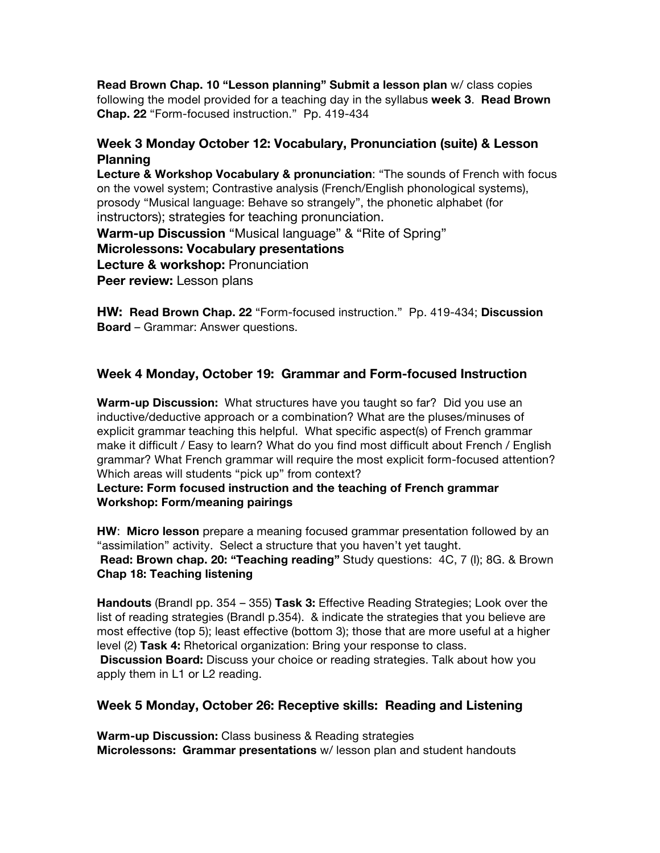**Read Brown Chap. 10 "Lesson planning" Submit a lesson plan** w/ class copies following the model provided for a teaching day in the syllabus **week 3**. **Read Brown Chap. 22** "Form-focused instruction." Pp. 419-434

## **Week 3 Monday October 12: Vocabulary, Pronunciation (suite) & Lesson Planning**

**Lecture & Workshop Vocabulary & pronunciation**: "The sounds of French with focus on the vowel system; Contrastive analysis (French/English phonological systems), prosody "Musical language: Behave so strangely", the phonetic alphabet (for instructors); strategies for teaching pronunciation. **Warm-up Discussion** "Musical language" & "Rite of Spring" **Microlessons: Vocabulary presentations Lecture & workshop: Pronunciation Peer review:** Lesson plans

**HW: Read Brown Chap. 22** "Form-focused instruction." Pp. 419-434; **Discussion Board** – Grammar: Answer questions.

# **Week 4 Monday, October 19: Grammar and Form-focused Instruction**

**Warm-up Discussion:** What structures have you taught so far? Did you use an inductive/deductive approach or a combination? What are the pluses/minuses of explicit grammar teaching this helpful. What specific aspect(s) of French grammar make it difficult / Easy to learn? What do you find most difficult about French / English grammar? What French grammar will require the most explicit form-focused attention? Which areas will students "pick up" from context?

### **Lecture: Form focused instruction and the teaching of French grammar Workshop: Form/meaning pairings**

**HW**: **Micro lesson** prepare a meaning focused grammar presentation followed by an "assimilation" activity. Select a structure that you haven't yet taught.

**Read: Brown chap. 20: "Teaching reading"** Study questions: 4C, 7 (I); 8G. & Brown **Chap 18: Teaching listening**

**Handouts** (Brandl pp. 354 – 355) **Task 3:** Effective Reading Strategies; Look over the list of reading strategies (Brandl p.354). & indicate the strategies that you believe are most effective (top 5); least effective (bottom 3); those that are more useful at a higher level (2) **Task 4:** Rhetorical organization: Bring your response to class.

**Discussion Board:** Discuss your choice or reading strategies. Talk about how you apply them in L1 or L2 reading.

## **Week 5 Monday, October 26: Receptive skills: Reading and Listening**

**Warm-up Discussion:** Class business & Reading strategies **Microlessons: Grammar presentations** w/ lesson plan and student handouts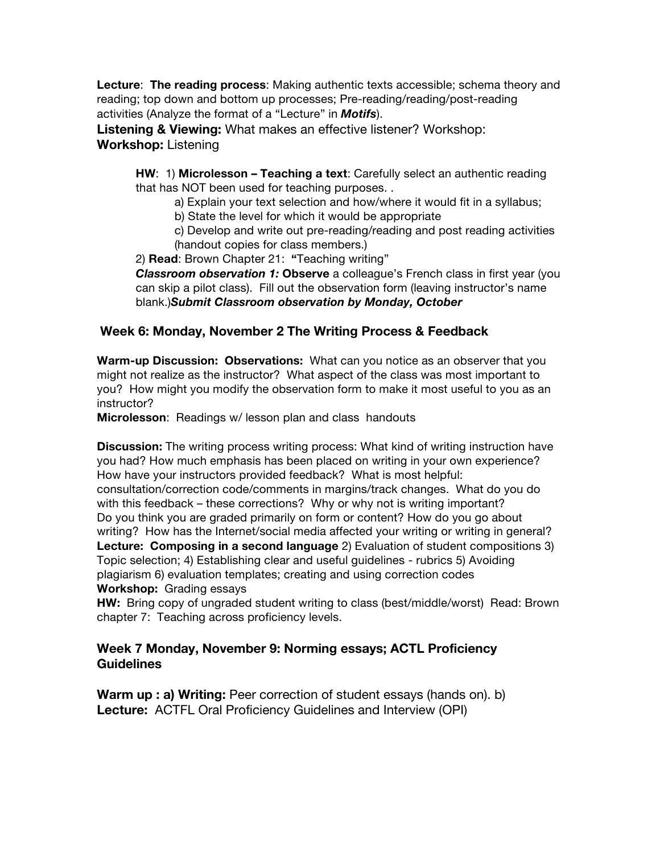**Lecture**: **The reading process**: Making authentic texts accessible; schema theory and reading; top down and bottom up processes; Pre-reading/reading/post-reading activities (Analyze the format of a "Lecture" in *Motifs*).

**Listening & Viewing:** What makes an effective listener? Workshop: **Workshop:** Listening

**HW**: 1) **Microlesson – Teaching a text**: Carefully select an authentic reading that has NOT been used for teaching purposes. .

a) Explain your text selection and how/where it would fit in a syllabus;

b) State the level for which it would be appropriate

c) Develop and write out pre-reading/reading and post reading activities (handout copies for class members.)

2) **Read**: Brown Chapter 21: **"**Teaching writing"

*Classroom observation 1:* **Observe** a colleague's French class in first year (you can skip a pilot class). Fill out the observation form (leaving instructor's name blank.)*Submit Classroom observation by Monday, October* 

# **Week 6: Monday, November 2 The Writing Process & Feedback**

**Warm-up Discussion: Observations:** What can you notice as an observer that you might not realize as the instructor? What aspect of the class was most important to you? How might you modify the observation form to make it most useful to you as an instructor?

**Microlesson**: Readings w/ lesson plan and class handouts

**Discussion:** The writing process writing process: What kind of writing instruction have you had? How much emphasis has been placed on writing in your own experience? How have your instructors provided feedback? What is most helpful: consultation/correction code/comments in margins/track changes. What do you do with this feedback – these corrections? Why or why not is writing important? Do you think you are graded primarily on form or content? How do you go about writing? How has the Internet/social media affected your writing or writing in general? **Lecture: Composing in a second language** 2) Evaluation of student compositions 3) Topic selection; 4) Establishing clear and useful guidelines - rubrics 5) Avoiding plagiarism 6) evaluation templates; creating and using correction codes **Workshop:** Grading essays

**HW:** Bring copy of ungraded student writing to class (best/middle/worst) Read: Brown chapter 7: Teaching across proficiency levels.

# **Week 7 Monday, November 9: Norming essays; ACTL Proficiency Guidelines**

**Warm up : a) Writing:** Peer correction of student essays (hands on). b) **Lecture:** ACTFL Oral Proficiency Guidelines and Interview (OPI)